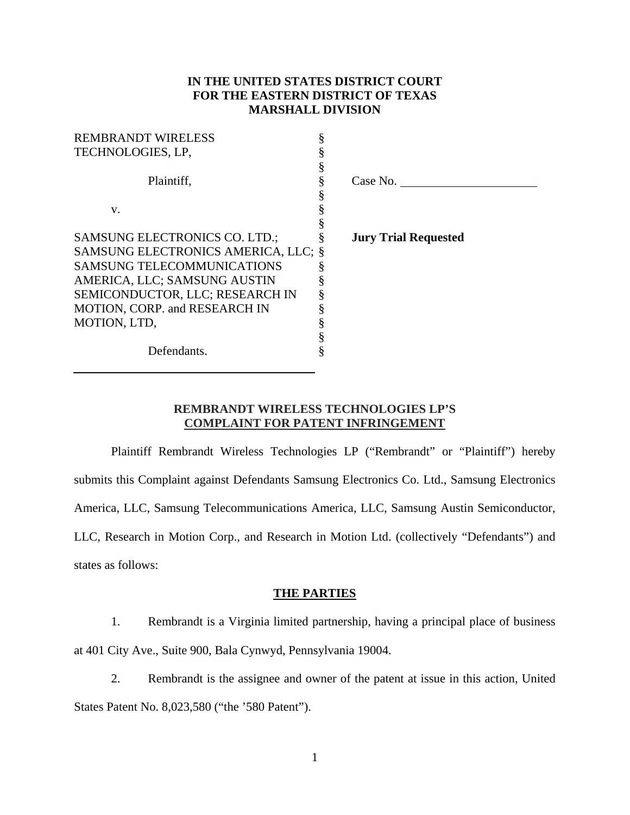# **IN THE UNITED STATES DISTRICT COURT FOR THE EASTERN DISTRICT OF TEXAS MARSHALL DIVISION**

| <b>REMBRANDT WIRELESS</b>            |                             |
|--------------------------------------|-----------------------------|
| TECHNOLOGIES, LP,                    |                             |
|                                      |                             |
| Plaintiff,                           | Case No.                    |
|                                      |                             |
| V.                                   |                             |
|                                      |                             |
| <b>SAMSUNG ELECTRONICS CO. LTD.;</b> | <b>Jury Trial Requested</b> |
| SAMSUNG ELECTRONICS AMERICA, LLC; §  |                             |
| <b>SAMSUNG TELECOMMUNICATIONS</b>    |                             |
| AMERICA, LLC; SAMSUNG AUSTIN         |                             |
| SEMICONDUCTOR, LLC; RESEARCH IN      |                             |
| MOTION, CORP. and RESEARCH IN        |                             |
| MOTION, LTD,                         |                             |
|                                      |                             |
| Defendants.                          |                             |
|                                      |                             |

## **REMBRANDT WIRELESS TECHNOLOGIES LP'S COMPLAINT FOR PATENT INFRINGEMENT**

Plaintiff Rembrandt Wireless Technologies LP ("Rembrandt" or "Plaintiff") hereby submits this Complaint against Defendants Samsung Electronics Co. Ltd., Samsung Electronics America, LLC, Samsung Telecommunications America, LLC, Samsung Austin Semiconductor, LLC, Research in Motion Corp., and Research in Motion Ltd. (collectively "Defendants") and states as follows:

### **THE PARTIES**

1. Rembrandt is a Virginia limited partnership, having a principal place of business at 401 City Ave., Suite 900, Bala Cynwyd, Pennsylvania 19004.

2. Rembrandt is the assignee and owner of the patent at issue in this action, United States Patent No. 8,023,580 ("the '580 Patent").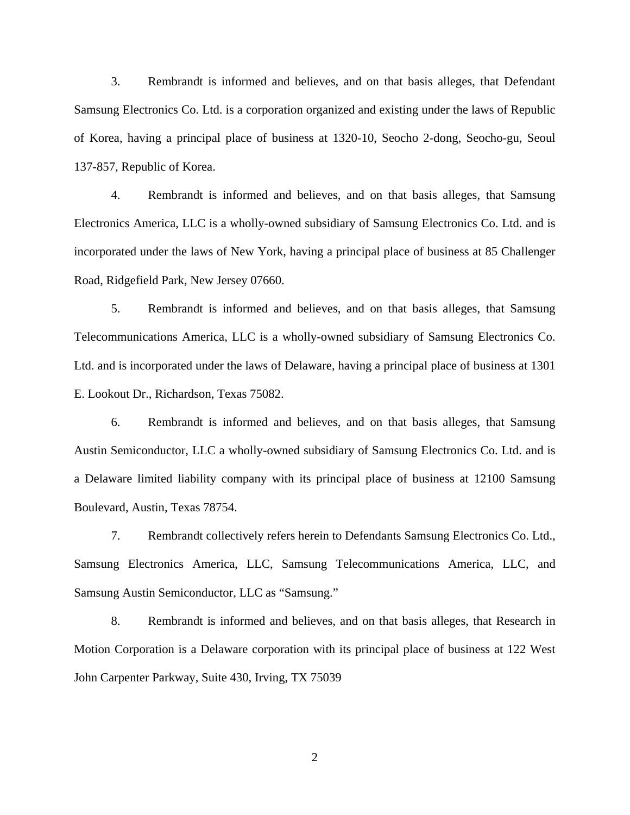3. Rembrandt is informed and believes, and on that basis alleges, that Defendant Samsung Electronics Co. Ltd. is a corporation organized and existing under the laws of Republic of Korea, having a principal place of business at 1320-10, Seocho 2-dong, Seocho-gu, Seoul 137-857, Republic of Korea.

4. Rembrandt is informed and believes, and on that basis alleges, that Samsung Electronics America, LLC is a wholly-owned subsidiary of Samsung Electronics Co. Ltd. and is incorporated under the laws of New York, having a principal place of business at 85 Challenger Road, Ridgefield Park, New Jersey 07660.

5. Rembrandt is informed and believes, and on that basis alleges, that Samsung Telecommunications America, LLC is a wholly-owned subsidiary of Samsung Electronics Co. Ltd. and is incorporated under the laws of Delaware, having a principal place of business at 1301 E. Lookout Dr., Richardson, Texas 75082.

6. Rembrandt is informed and believes, and on that basis alleges, that Samsung Austin Semiconductor, LLC a wholly-owned subsidiary of Samsung Electronics Co. Ltd. and is a Delaware limited liability company with its principal place of business at 12100 Samsung Boulevard, Austin, Texas 78754.

7. Rembrandt collectively refers herein to Defendants Samsung Electronics Co. Ltd., Samsung Electronics America, LLC, Samsung Telecommunications America, LLC, and Samsung Austin Semiconductor, LLC as "Samsung."

8. Rembrandt is informed and believes, and on that basis alleges, that Research in Motion Corporation is a Delaware corporation with its principal place of business at 122 West John Carpenter Parkway, Suite 430, Irving, TX 75039

2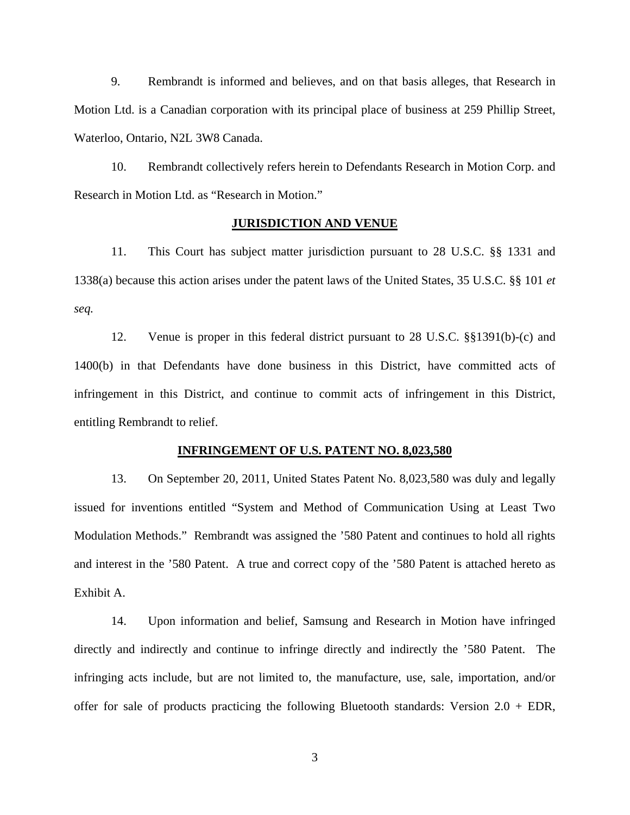9. Rembrandt is informed and believes, and on that basis alleges, that Research in Motion Ltd. is a Canadian corporation with its principal place of business at 259 Phillip Street, Waterloo, Ontario, N2L 3W8 Canada.

10. Rembrandt collectively refers herein to Defendants Research in Motion Corp. and Research in Motion Ltd. as "Research in Motion."

## **JURISDICTION AND VENUE**

11. This Court has subject matter jurisdiction pursuant to 28 U.S.C. §§ 1331 and 1338(a) because this action arises under the patent laws of the United States, 35 U.S.C. §§ 101 *et seq.*

12. Venue is proper in this federal district pursuant to 28 U.S.C. §§1391(b)-(c) and 1400(b) in that Defendants have done business in this District, have committed acts of infringement in this District, and continue to commit acts of infringement in this District, entitling Rembrandt to relief.

#### **INFRINGEMENT OF U.S. PATENT NO. 8,023,580**

13. On September 20, 2011, United States Patent No. 8,023,580 was duly and legally issued for inventions entitled "System and Method of Communication Using at Least Two Modulation Methods." Rembrandt was assigned the '580 Patent and continues to hold all rights and interest in the '580 Patent. A true and correct copy of the '580 Patent is attached hereto as Exhibit A.

14. Upon information and belief, Samsung and Research in Motion have infringed directly and indirectly and continue to infringe directly and indirectly the '580 Patent. The infringing acts include, but are not limited to, the manufacture, use, sale, importation, and/or offer for sale of products practicing the following Bluetooth standards: Version  $2.0 + EDR$ ,

3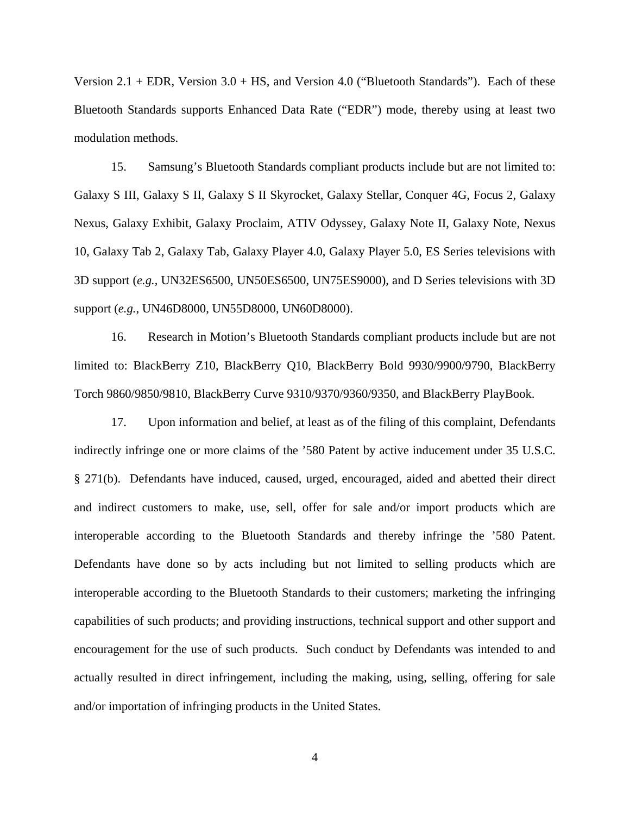Version 2.1 + EDR, Version 3.0 + HS, and Version 4.0 ("Bluetooth Standards"). Each of these Bluetooth Standards supports Enhanced Data Rate ("EDR") mode, thereby using at least two modulation methods.

15. Samsung's Bluetooth Standards compliant products include but are not limited to: Galaxy S III, Galaxy S II, Galaxy S II Skyrocket, Galaxy Stellar, Conquer 4G, Focus 2, Galaxy Nexus, Galaxy Exhibit, Galaxy Proclaim, ATIV Odyssey, Galaxy Note II, Galaxy Note, Nexus 10, Galaxy Tab 2, Galaxy Tab, Galaxy Player 4.0, Galaxy Player 5.0, ES Series televisions with 3D support (*e.g.*, UN32ES6500, UN50ES6500, UN75ES9000), and D Series televisions with 3D support (*e.g.*, UN46D8000, UN55D8000, UN60D8000).

16. Research in Motion's Bluetooth Standards compliant products include but are not limited to: BlackBerry Z10, BlackBerry Q10, BlackBerry Bold 9930/9900/9790, BlackBerry Torch 9860/9850/9810, BlackBerry Curve 9310/9370/9360/9350, and BlackBerry PlayBook.

17. Upon information and belief, at least as of the filing of this complaint, Defendants indirectly infringe one or more claims of the '580 Patent by active inducement under 35 U.S.C. § 271(b). Defendants have induced, caused, urged, encouraged, aided and abetted their direct and indirect customers to make, use, sell, offer for sale and/or import products which are interoperable according to the Bluetooth Standards and thereby infringe the '580 Patent. Defendants have done so by acts including but not limited to selling products which are interoperable according to the Bluetooth Standards to their customers; marketing the infringing capabilities of such products; and providing instructions, technical support and other support and encouragement for the use of such products. Such conduct by Defendants was intended to and actually resulted in direct infringement, including the making, using, selling, offering for sale and/or importation of infringing products in the United States.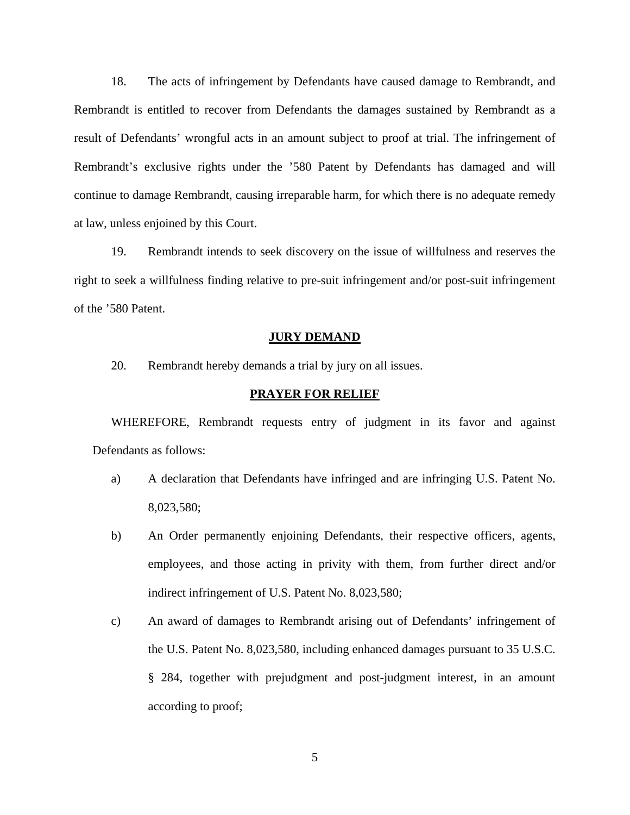18. The acts of infringement by Defendants have caused damage to Rembrandt, and Rembrandt is entitled to recover from Defendants the damages sustained by Rembrandt as a result of Defendants' wrongful acts in an amount subject to proof at trial. The infringement of Rembrandt's exclusive rights under the '580 Patent by Defendants has damaged and will continue to damage Rembrandt, causing irreparable harm, for which there is no adequate remedy at law, unless enjoined by this Court.

19. Rembrandt intends to seek discovery on the issue of willfulness and reserves the right to seek a willfulness finding relative to pre-suit infringement and/or post-suit infringement of the '580 Patent.

#### **JURY DEMAND**

20. Rembrandt hereby demands a trial by jury on all issues.

### **PRAYER FOR RELIEF**

WHEREFORE, Rembrandt requests entry of judgment in its favor and against Defendants as follows:

- a) A declaration that Defendants have infringed and are infringing U.S. Patent No. 8,023,580;
- b) An Order permanently enjoining Defendants, their respective officers, agents, employees, and those acting in privity with them, from further direct and/or indirect infringement of U.S. Patent No. 8,023,580;
- c) An award of damages to Rembrandt arising out of Defendants' infringement of the U.S. Patent No. 8,023,580, including enhanced damages pursuant to 35 U.S.C. § 284, together with prejudgment and post-judgment interest, in an amount according to proof;